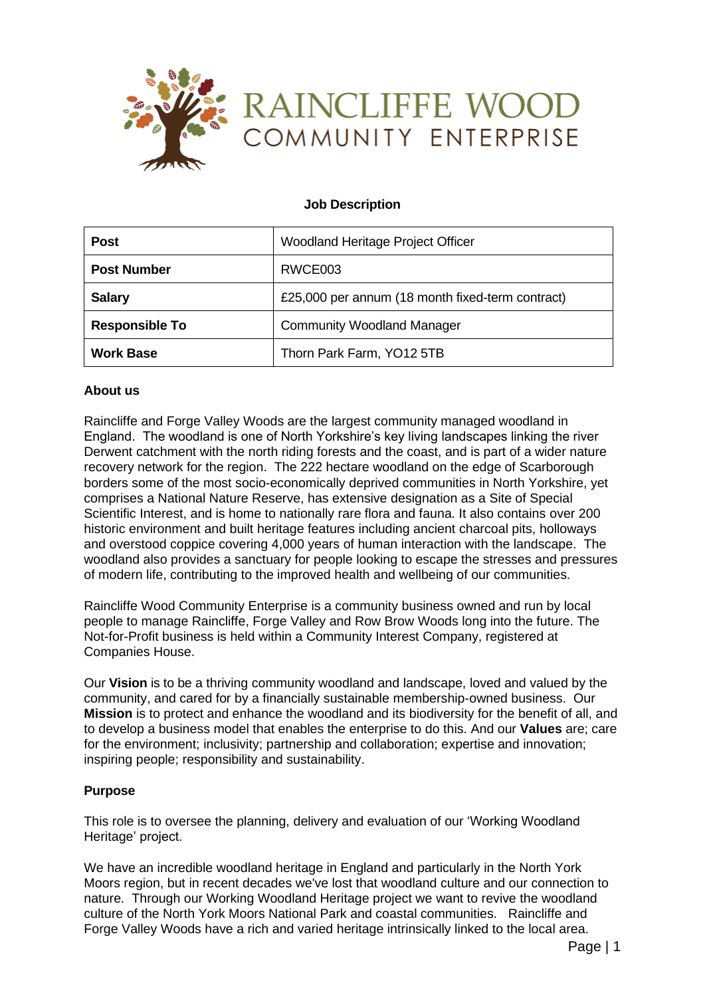

### **Job Description**

| <b>Post</b>           | Woodland Heritage Project Officer                |
|-----------------------|--------------------------------------------------|
| <b>Post Number</b>    | RWCE003                                          |
| <b>Salary</b>         | £25,000 per annum (18 month fixed-term contract) |
| <b>Responsible To</b> | <b>Community Woodland Manager</b>                |
| <b>Work Base</b>      | Thorn Park Farm, YO12 5TB                        |

#### **About us**

Raincliffe and Forge Valley Woods are the largest community managed woodland in England. The woodland is one of North Yorkshire's key living landscapes linking the river Derwent catchment with the north riding forests and the coast, and is part of a wider nature recovery network for the region. The 222 hectare woodland on the edge of Scarborough borders some of the most socio-economically deprived communities in North Yorkshire, yet comprises a National Nature Reserve, has extensive designation as a Site of Special Scientific Interest, and is home to nationally rare flora and fauna. It also contains over 200 historic environment and built heritage features including ancient charcoal pits, holloways and overstood coppice covering 4,000 years of human interaction with the landscape. The woodland also provides a sanctuary for people looking to escape the stresses and pressures of modern life, contributing to the improved health and wellbeing of our communities.

Raincliffe Wood Community Enterprise is a community business owned and run by local people to manage Raincliffe, Forge Valley and Row Brow Woods long into the future. The Not-for-Profit business is held within a Community Interest Company, registered at Companies House.

Our **Vision** is to be a thriving community woodland and landscape, loved and valued by the community, and cared for by a financially sustainable membership-owned business. Our **Mission** is to protect and enhance the woodland and its biodiversity for the benefit of all, and to develop a business model that enables the enterprise to do this. And our **Values** are; care for the environment; inclusivity; partnership and collaboration; expertise and innovation; inspiring people; responsibility and sustainability.

#### **Purpose**

This role is to oversee the planning, delivery and evaluation of our 'Working Woodland Heritage' project.

We have an incredible woodland heritage in England and particularly in the North York Moors region, but in recent decades we've lost that woodland culture and our connection to nature. Through our Working Woodland Heritage project we want to revive the woodland culture of the North York Moors National Park and coastal communities. Raincliffe and Forge Valley Woods have a rich and varied heritage intrinsically linked to the local area.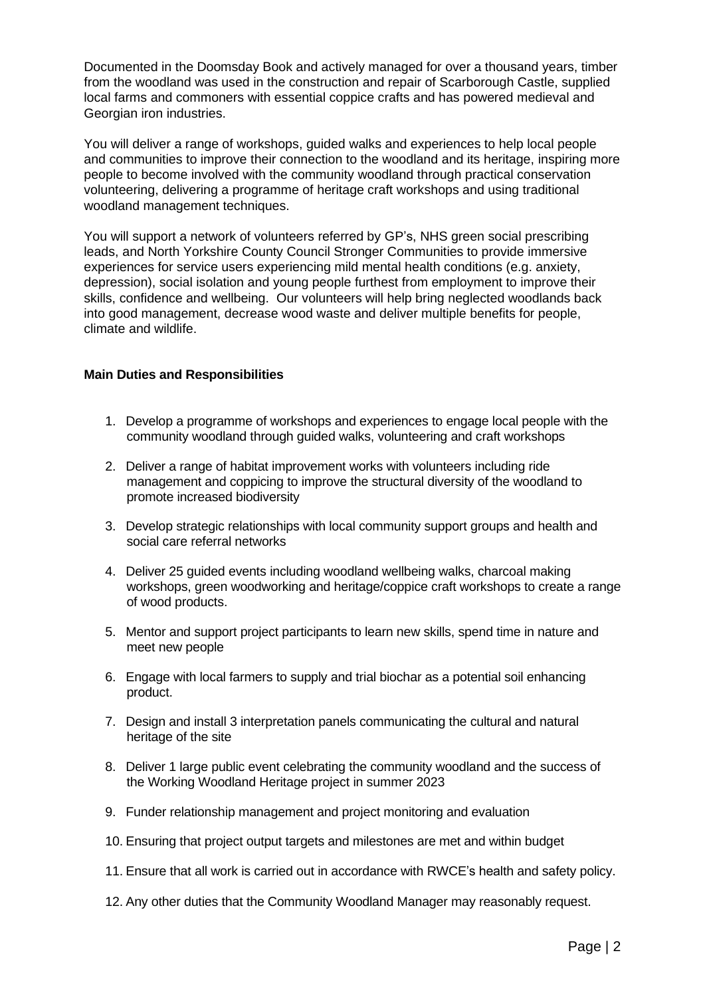Documented in the Doomsday Book and actively managed for over a thousand years, timber from the woodland was used in the construction and repair of Scarborough Castle, supplied local farms and commoners with essential coppice crafts and has powered medieval and Georgian iron industries.

You will deliver a range of workshops, guided walks and experiences to help local people and communities to improve their connection to the woodland and its heritage, inspiring more people to become involved with the community woodland through practical conservation volunteering, delivering a programme of heritage craft workshops and using traditional woodland management techniques.

You will support a network of volunteers referred by GP's, NHS green social prescribing leads, and North Yorkshire County Council Stronger Communities to provide immersive experiences for service users experiencing mild mental health conditions (e.g. anxiety, depression), social isolation and young people furthest from employment to improve their skills, confidence and wellbeing. Our volunteers will help bring neglected woodlands back into good management, decrease wood waste and deliver multiple benefits for people, climate and wildlife.

#### **Main Duties and Responsibilities**

- 1. Develop a programme of workshops and experiences to engage local people with the community woodland through guided walks, volunteering and craft workshops
- 2. Deliver a range of habitat improvement works with volunteers including ride management and coppicing to improve the structural diversity of the woodland to promote increased biodiversity
- 3. Develop strategic relationships with local community support groups and health and social care referral networks
- 4. Deliver 25 guided events including woodland wellbeing walks, charcoal making workshops, green woodworking and heritage/coppice craft workshops to create a range of wood products.
- 5. Mentor and support project participants to learn new skills, spend time in nature and meet new people
- 6. Engage with local farmers to supply and trial biochar as a potential soil enhancing product.
- 7. Design and install 3 interpretation panels communicating the cultural and natural heritage of the site
- 8. Deliver 1 large public event celebrating the community woodland and the success of the Working Woodland Heritage project in summer 2023
- 9. Funder relationship management and project monitoring and evaluation
- 10. Ensuring that project output targets and milestones are met and within budget
- 11. Ensure that all work is carried out in accordance with RWCE's health and safety policy.
- 12. Any other duties that the Community Woodland Manager may reasonably request.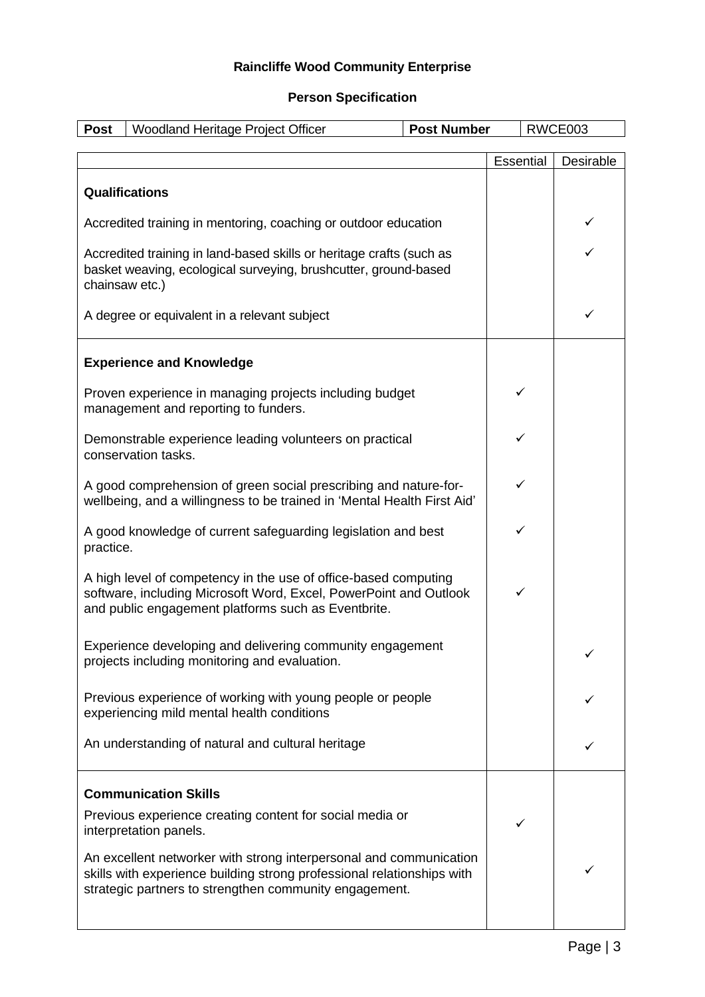# **Raincliffe Wood Community Enterprise**

## **Person Specification**

| <b>Post</b>                                                                                                                                                                                 | Woodland Heritage Project Officer<br><b>Post Number</b>                                                                                                                                                |   |           | RWCE003   |
|---------------------------------------------------------------------------------------------------------------------------------------------------------------------------------------------|--------------------------------------------------------------------------------------------------------------------------------------------------------------------------------------------------------|---|-----------|-----------|
|                                                                                                                                                                                             |                                                                                                                                                                                                        |   |           |           |
|                                                                                                                                                                                             |                                                                                                                                                                                                        |   | Essential | Desirable |
|                                                                                                                                                                                             | <b>Qualifications</b>                                                                                                                                                                                  |   |           |           |
| Accredited training in mentoring, coaching or outdoor education                                                                                                                             |                                                                                                                                                                                                        |   |           |           |
| Accredited training in land-based skills or heritage crafts (such as<br>basket weaving, ecological surveying, brushcutter, ground-based<br>chainsaw etc.)                                   |                                                                                                                                                                                                        |   |           |           |
| A degree or equivalent in a relevant subject                                                                                                                                                |                                                                                                                                                                                                        |   |           | ✓         |
|                                                                                                                                                                                             | <b>Experience and Knowledge</b>                                                                                                                                                                        |   |           |           |
| Proven experience in managing projects including budget<br>management and reporting to funders.                                                                                             |                                                                                                                                                                                                        |   | ✓         |           |
| Demonstrable experience leading volunteers on practical<br>conservation tasks.                                                                                                              |                                                                                                                                                                                                        |   | ✓         |           |
| A good comprehension of green social prescribing and nature-for-<br>wellbeing, and a willingness to be trained in 'Mental Health First Aid'                                                 |                                                                                                                                                                                                        |   |           |           |
| A good knowledge of current safeguarding legislation and best<br>practice.                                                                                                                  |                                                                                                                                                                                                        | ✓ |           |           |
| A high level of competency in the use of office-based computing<br>software, including Microsoft Word, Excel, PowerPoint and Outlook<br>and public engagement platforms such as Eventbrite. |                                                                                                                                                                                                        | ✓ |           |           |
| Experience developing and delivering community engagement<br>projects including monitoring and evaluation.                                                                                  |                                                                                                                                                                                                        |   | ✓         |           |
| Previous experience of working with young people or people<br>experiencing mild mental health conditions                                                                                    |                                                                                                                                                                                                        |   |           |           |
| An understanding of natural and cultural heritage                                                                                                                                           |                                                                                                                                                                                                        |   |           |           |
|                                                                                                                                                                                             | <b>Communication Skills</b>                                                                                                                                                                            |   |           |           |
|                                                                                                                                                                                             | Previous experience creating content for social media or<br>interpretation panels.                                                                                                                     |   | ✓         |           |
|                                                                                                                                                                                             | An excellent networker with strong interpersonal and communication<br>skills with experience building strong professional relationships with<br>strategic partners to strengthen community engagement. |   |           |           |
|                                                                                                                                                                                             |                                                                                                                                                                                                        |   |           |           |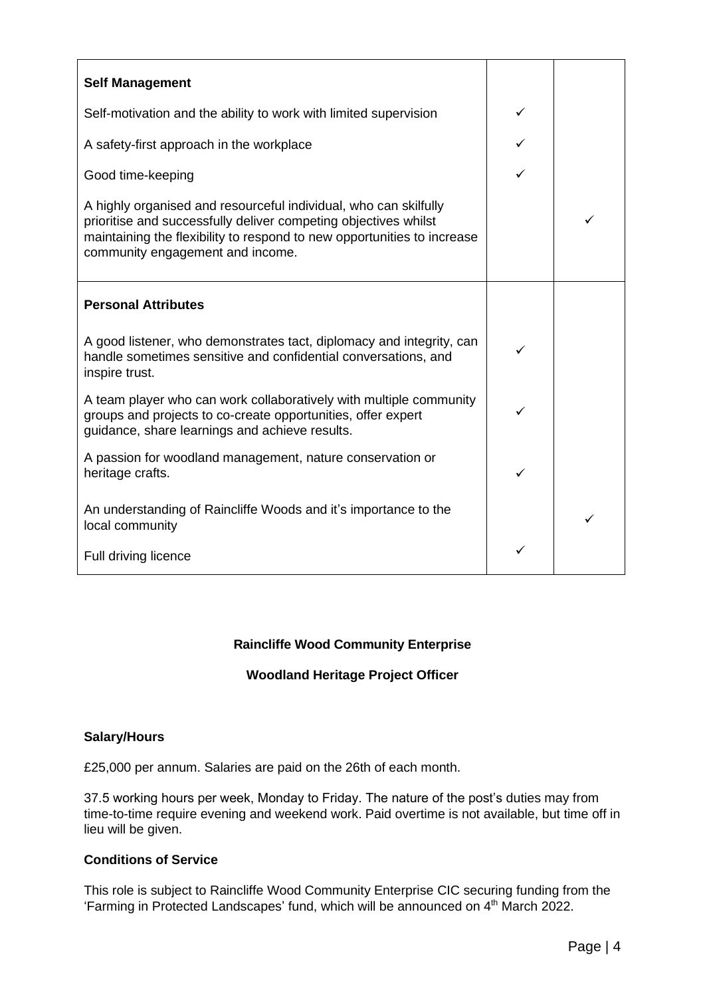| <b>Self Management</b>                                                                                                                                                                                                                             |   |  |
|----------------------------------------------------------------------------------------------------------------------------------------------------------------------------------------------------------------------------------------------------|---|--|
| Self-motivation and the ability to work with limited supervision                                                                                                                                                                                   |   |  |
| A safety-first approach in the workplace                                                                                                                                                                                                           |   |  |
| Good time-keeping                                                                                                                                                                                                                                  |   |  |
| A highly organised and resourceful individual, who can skilfully<br>prioritise and successfully deliver competing objectives whilst<br>maintaining the flexibility to respond to new opportunities to increase<br>community engagement and income. |   |  |
| <b>Personal Attributes</b>                                                                                                                                                                                                                         |   |  |
| A good listener, who demonstrates tact, diplomacy and integrity, can<br>handle sometimes sensitive and confidential conversations, and<br>inspire trust.                                                                                           | ✓ |  |
| A team player who can work collaboratively with multiple community<br>groups and projects to co-create opportunities, offer expert<br>guidance, share learnings and achieve results.                                                               | ✓ |  |
| A passion for woodland management, nature conservation or<br>heritage crafts.                                                                                                                                                                      | ✓ |  |
| An understanding of Raincliffe Woods and it's importance to the<br>local community                                                                                                                                                                 |   |  |
| Full driving licence                                                                                                                                                                                                                               | ✓ |  |

# **Raincliffe Wood Community Enterprise**

# **Woodland Heritage Project Officer**

### **Salary/Hours**

£25,000 per annum. Salaries are paid on the 26th of each month.

37.5 working hours per week, Monday to Friday. The nature of the post's duties may from time-to-time require evening and weekend work. Paid overtime is not available, but time off in lieu will be given.

# **Conditions of Service**

This role is subject to Raincliffe Wood Community Enterprise CIC securing funding from the 'Farming in Protected Landscapes' fund, which will be announced on 4<sup>th</sup> March 2022.